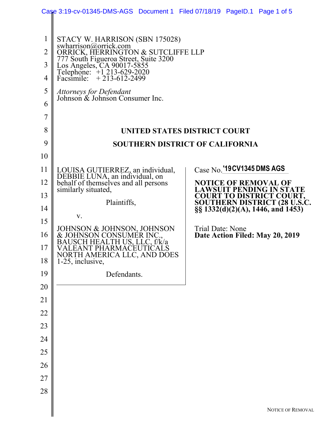|                | Case 3:19-cv-01345-DMS-AGS Document 1 Filed 07/18/19 PageID.1 Page 1 of 5                                  |                                                                                                             |  |  |  |  |  |
|----------------|------------------------------------------------------------------------------------------------------------|-------------------------------------------------------------------------------------------------------------|--|--|--|--|--|
|                |                                                                                                            |                                                                                                             |  |  |  |  |  |
| $\mathbf 1$    | STACY W. HARRISON (SBN 175028)                                                                             |                                                                                                             |  |  |  |  |  |
| $\overline{2}$ | swharrison@orrick.com<br>ORRICK, HERRINGTON & SUTCLIFFE LLP<br>777 South Figueroa Street, Suite 3200       |                                                                                                             |  |  |  |  |  |
| 3              | Los Angeles, CA 90017-5855                                                                                 |                                                                                                             |  |  |  |  |  |
| 4              | Telephone: +1 213-629-2020<br>Facsimile: +213-612-2499                                                     |                                                                                                             |  |  |  |  |  |
| 5              | Attorneys for Defendant<br>Johnson & Johnson Consumer Inc.                                                 |                                                                                                             |  |  |  |  |  |
| 6              |                                                                                                            |                                                                                                             |  |  |  |  |  |
| 7              |                                                                                                            |                                                                                                             |  |  |  |  |  |
| 8              | UNITED STATES DISTRICT COURT                                                                               |                                                                                                             |  |  |  |  |  |
| 9              |                                                                                                            | <b>SOUTHERN DISTRICT OF CALIFORNIA</b>                                                                      |  |  |  |  |  |
| 10             |                                                                                                            |                                                                                                             |  |  |  |  |  |
| 11             | LOUISA GUTIERREZ, an individual,<br>DEBBIE LUNA, an individual, on<br>behalf of themselves and all persons | Case No. '19 CV1345 DMS AGS                                                                                 |  |  |  |  |  |
| 12             | similarly situated,                                                                                        | <b>NOTICE OF REMOVAL OF</b><br><b>LAWSUIT PENDING IN STATE</b>                                              |  |  |  |  |  |
| 13             | Plaintiffs,                                                                                                | <b>COURT TO DISTRICT COURT,</b><br><b>SOUTHERN DISTRICT (28 U.S.C.</b><br>§§ 1332(d)(2)(A), 1446, and 1453) |  |  |  |  |  |
| 14             | V.                                                                                                         |                                                                                                             |  |  |  |  |  |
| 15             |                                                                                                            | Trial Date: None                                                                                            |  |  |  |  |  |
| 16             | JOHNSON & JOHNSON, JOHNSON<br>& JOHNSON CONSUMER INC.,<br>BAUSCH HEALTH US, LLC, f/k/a                     | Date Action Filed: May 20, 2019                                                                             |  |  |  |  |  |
| 17<br>18       | VALEANT PHARMACEUTICALS<br>NORTH AMERICA LLC, AND DOES 1-25, inclusive,                                    |                                                                                                             |  |  |  |  |  |
| 19             | Defendants.                                                                                                |                                                                                                             |  |  |  |  |  |
| 20             |                                                                                                            |                                                                                                             |  |  |  |  |  |
| 21             |                                                                                                            |                                                                                                             |  |  |  |  |  |
| 22             |                                                                                                            |                                                                                                             |  |  |  |  |  |
| 23             |                                                                                                            |                                                                                                             |  |  |  |  |  |
| 24             |                                                                                                            |                                                                                                             |  |  |  |  |  |
| 25             |                                                                                                            |                                                                                                             |  |  |  |  |  |
| 26             |                                                                                                            |                                                                                                             |  |  |  |  |  |
| 27             |                                                                                                            |                                                                                                             |  |  |  |  |  |
| 28             |                                                                                                            |                                                                                                             |  |  |  |  |  |
|                |                                                                                                            | NOTICE OF REMOVAI                                                                                           |  |  |  |  |  |
|                |                                                                                                            |                                                                                                             |  |  |  |  |  |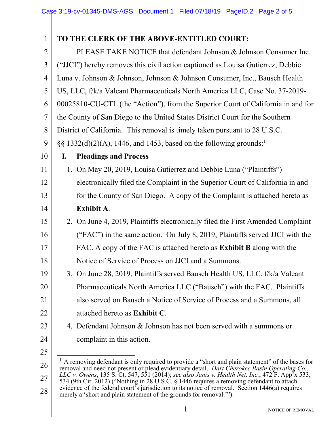| $\mathbf{1}$   | TO THE CLERK OF THE ABOVE-ENTITLED COURT:                                                                                                                                                                    |  |  |  |  |
|----------------|--------------------------------------------------------------------------------------------------------------------------------------------------------------------------------------------------------------|--|--|--|--|
| $\overline{2}$ | PLEASE TAKE NOTICE that defendant Johnson & Johnson Consumer Inc.                                                                                                                                            |  |  |  |  |
| 3              | ("JJCI") hereby removes this civil action captioned as Louisa Gutierrez, Debbie                                                                                                                              |  |  |  |  |
| $\overline{4}$ | Luna v. Johnson & Johnson, Johnson & Johnson Consumer, Inc., Bausch Health                                                                                                                                   |  |  |  |  |
| 5              | US, LLC, f/k/a Valeant Pharmaceuticals North America LLC, Case No. 37-2019-                                                                                                                                  |  |  |  |  |
| 6              | 00025810-CU-CTL (the "Action"), from the Superior Court of California in and for                                                                                                                             |  |  |  |  |
| $\overline{7}$ | the County of San Diego to the United States District Court for the Southern                                                                                                                                 |  |  |  |  |
| 8              | District of California. This removal is timely taken pursuant to 28 U.S.C.                                                                                                                                   |  |  |  |  |
| 9              | $\S\S$ 1332(d)(2)(A), 1446, and 1453, based on the following grounds: <sup>1</sup>                                                                                                                           |  |  |  |  |
| 10             | I.<br><b>Pleadings and Process</b>                                                                                                                                                                           |  |  |  |  |
| 11             | 1. On May 20, 2019, Louisa Gutierrez and Debbie Luna ("Plaintiffs")                                                                                                                                          |  |  |  |  |
| 12             | electronically filed the Complaint in the Superior Court of California in and                                                                                                                                |  |  |  |  |
| 13             | for the County of San Diego. A copy of the Complaint is attached hereto as                                                                                                                                   |  |  |  |  |
| 14             | <b>Exhibit A.</b>                                                                                                                                                                                            |  |  |  |  |
| 15             | 2. On June 4, 2019, Plaintiffs electronically filed the First Amended Complaint                                                                                                                              |  |  |  |  |
| 16             | ("FAC") in the same action. On July 8, 2019, Plaintiffs served JJCI with the                                                                                                                                 |  |  |  |  |
| 17             | FAC. A copy of the FAC is attached hereto as <b>Exhibit B</b> along with the                                                                                                                                 |  |  |  |  |
| 18             | Notice of Service of Process on JJCI and a Summons.                                                                                                                                                          |  |  |  |  |
| 19             | 3. On June 28, 2019, Plaintiffs served Bausch Health US, LLC, f/k/a Valeant                                                                                                                                  |  |  |  |  |
| 20             | Pharmaceuticals North America LLC ("Bausch") with the FAC. Plaintiffs                                                                                                                                        |  |  |  |  |
| 21             | also served on Bausch a Notice of Service of Process and a Summons, all                                                                                                                                      |  |  |  |  |
| 22             | attached hereto as <b>Exhibit C</b> .                                                                                                                                                                        |  |  |  |  |
| 23             | 4. Defendant Johnson & Johnson has not been served with a summons or                                                                                                                                         |  |  |  |  |
| 24             | complaint in this action.                                                                                                                                                                                    |  |  |  |  |
| 25             |                                                                                                                                                                                                              |  |  |  |  |
| 26             | <sup>1</sup> A removing defendant is only required to provide a "short and plain statement" of the bases for<br>removal and need not present or plead evidentiary detail. Dart Cherokee Basin Operating Co., |  |  |  |  |
| 27             | LLC v. Owens, 135 S. Ct. 547, 551 (2014); see also Janis v. Health Net, Inc., 472 F. App <sup>7</sup> x 533,<br>534 (9th Cir. 2012) ("Nothing in 28 U.S.C. § 1446 requires a removing defendant to attach    |  |  |  |  |
| 28             | evidence of the federal court's jurisdiction to its notice of removal. Section 1446(a) requires<br>merely a 'short and plain statement of the grounds for removal."").                                       |  |  |  |  |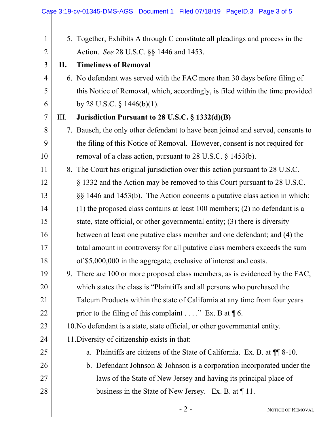|                |    | Case 3:19-cv-01345-DMS-AGS Document 1 Filed 07/18/19 PageID.3 Page 3 of 5       |
|----------------|----|---------------------------------------------------------------------------------|
| $\mathbf{1}$   |    | 5. Together, Exhibits A through C constitute all pleadings and process in the   |
| $\overline{2}$ |    | Action. See 28 U.S.C. §§ 1446 and 1453.                                         |
| 3              | П. | <b>Timeliness of Removal</b>                                                    |
| $\overline{4}$ |    | 6. No defendant was served with the FAC more than 30 days before filing of      |
| 5              |    | this Notice of Removal, which, accordingly, is filed within the time provided   |
| 6              |    | by 28 U.S.C. $\S$ 1446(b)(1).                                                   |
| $\overline{7}$ | Ш. | Jurisdiction Pursuant to 28 U.S.C. § 1332(d)(B)                                 |
| 8              |    | 7. Bausch, the only other defendant to have been joined and served, consents to |
| 9              |    | the filing of this Notice of Removal. However, consent is not required for      |
| 10             |    | removal of a class action, pursuant to 28 U.S.C. § 1453(b).                     |
| 11             |    | 8. The Court has original jurisdiction over this action pursuant to 28 U.S.C.   |
| 12             |    | § 1332 and the Action may be removed to this Court pursuant to 28 U.S.C.        |
| 13             |    | §§ 1446 and 1453(b). The Action concerns a putative class action in which:      |
| 14             |    | $(1)$ the proposed class contains at least 100 members; (2) no defendant is a   |
| 15             |    | state, state official, or other governmental entity; (3) there is diversity     |
| 16             |    | between at least one putative class member and one defendant; and (4) the       |
| 17             |    | total amount in controversy for all putative class members exceeds the sum      |
| 18             |    | of \$5,000,000 in the aggregate, exclusive of interest and costs.               |
| 19             |    | 9. There are 100 or more proposed class members, as is evidenced by the FAC,    |
| 20             |    | which states the class is "Plaintiffs and all persons who purchased the         |
| 21             |    | Talcum Products within the state of California at any time from four years      |
| 22             |    | prior to the filing of this complaint" Ex. B at $\P$ 6.                         |
| 23             |    | 10. No defendant is a state, state official, or other governmental entity.      |
| 24             |    | 11. Diversity of citizenship exists in that:                                    |
| 25             |    | a. Plaintiffs are citizens of the State of California. Ex. B. at $\P$ 8-10.     |
| 26             |    | b. Defendant Johnson $&$ Johnson is a corporation incorporated under the        |
| 27             |    | laws of the State of New Jersey and having its principal place of               |
| 28             |    | business in the State of New Jersey. Ex. B. at $\P$ 11.                         |
|                |    | $-2-$<br>NOTICE OF REMOVAL                                                      |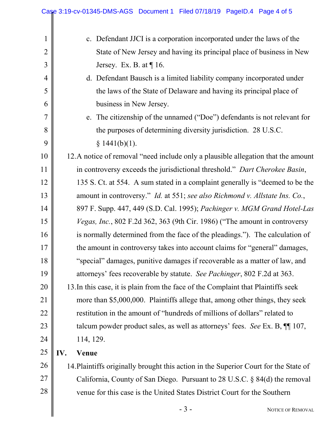|                | Case 3:19-cv-01345-DMS-AGS Document 1 Filed 07/18/19 PageID.4 Page 4 of 5            |  |  |  |  |
|----------------|--------------------------------------------------------------------------------------|--|--|--|--|
|                |                                                                                      |  |  |  |  |
| $\mathbf{1}$   | c. Defendant JJCI is a corporation incorporated under the laws of the                |  |  |  |  |
| $\overline{2}$ | State of New Jersey and having its principal place of business in New                |  |  |  |  |
| $\mathfrak{Z}$ | Jersey. Ex. B. at $\P$ 16.                                                           |  |  |  |  |
| $\overline{4}$ | d. Defendant Bausch is a limited liability company incorporated under                |  |  |  |  |
| 5              | the laws of the State of Delaware and having its principal place of                  |  |  |  |  |
| 6              | business in New Jersey.                                                              |  |  |  |  |
| 7              | e. The citizenship of the unnamed ("Doe") defendants is not relevant for             |  |  |  |  |
| 8              | the purposes of determining diversity jurisdiction. 28 U.S.C.                        |  |  |  |  |
| 9              | § 1441(b)(1).                                                                        |  |  |  |  |
| 10             | 12. A notice of removal "need include only a plausible allegation that the amount    |  |  |  |  |
| 11             | in controversy exceeds the jurisdictional threshold." Dart Cherokee Basin,           |  |  |  |  |
| 12             | 135 S. Ct. at 554. A sum stated in a complaint generally is "deemed to be the        |  |  |  |  |
| 13             | amount in controversy." Id. at 551; see also Richmond v. Allstate Ins. Co.,          |  |  |  |  |
| 14             | 897 F. Supp. 447, 449 (S.D. Cal. 1995); Pachinger v. MGM Grand Hotel-Las             |  |  |  |  |
| 15             | Vegas, Inc., 802 F.2d 362, 363 (9th Cir. 1986) ("The amount in controversy           |  |  |  |  |
| 16             | is normally determined from the face of the pleadings."). The calculation of         |  |  |  |  |
| 17             | the amount in controversy takes into account claims for "general" damages,           |  |  |  |  |
| 18             | "special" damages, punitive damages if recoverable as a matter of law, and           |  |  |  |  |
| 19             | attorneys' fees recoverable by statute. See Pachinger, 802 F.2d at 363.              |  |  |  |  |
| 20             | 13. In this case, it is plain from the face of the Complaint that Plaintiffs seek    |  |  |  |  |
| 21             | more than \$5,000,000. Plaintiffs allege that, among other things, they seek         |  |  |  |  |
| 22             | restitution in the amount of "hundreds of millions of dollars" related to            |  |  |  |  |
| 23             | talcum powder product sales, as well as attorneys' fees. See Ex. B, $\P$ 107,        |  |  |  |  |
| 24             | 114, 129.                                                                            |  |  |  |  |
| 25             | IV.<br><b>Venue</b>                                                                  |  |  |  |  |
| 26             | 14. Plaintiffs originally brought this action in the Superior Court for the State of |  |  |  |  |
| 27             | California, County of San Diego. Pursuant to 28 U.S.C. $\S$ 84(d) the removal        |  |  |  |  |
| 28             | venue for this case is the United States District Court for the Southern             |  |  |  |  |
|                | $-3-$<br>NOTICE OF REMOVAL                                                           |  |  |  |  |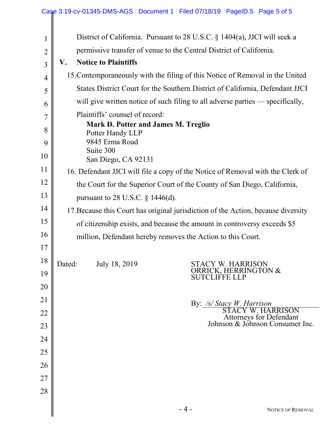|                | Case 3:19-cv-01345-DMS-AGS Document 1 Filed 07/18/19 PageID.5 Page 5 of 5         |  |  |  |  |  |
|----------------|-----------------------------------------------------------------------------------|--|--|--|--|--|
| 1              | District of California. Pursuant to 28 U.S.C. § 1404(a), JJCI will seek a         |  |  |  |  |  |
| $\overline{2}$ | permissive transfer of venue to the Central District of California.               |  |  |  |  |  |
| 3              | <b>Notice to Plaintiffs</b><br>V.                                                 |  |  |  |  |  |
| 4              | 15. Contemporaneously with the filing of this Notice of Removal in the United     |  |  |  |  |  |
| 5              | States District Court for the Southern District of California, Defendant JJCI     |  |  |  |  |  |
| 6              | will give written notice of such filing to all adverse parties — specifically,    |  |  |  |  |  |
| 7              | Plaintiffs' counsel of record:                                                    |  |  |  |  |  |
| 8              | Mark D. Potter and James M. Treglio<br>Potter Handy LLP                           |  |  |  |  |  |
| 9              | 9845 Erma Road                                                                    |  |  |  |  |  |
| 10             | Suite 300<br>San Diego, CA 92131                                                  |  |  |  |  |  |
| 11             | 16. Defendant JJCI will file a copy of the Notice of Removal with the Clerk of    |  |  |  |  |  |
| 12             | the Court for the Superior Court of the County of San Diego, California,          |  |  |  |  |  |
| 13             | pursuant to 28 U.S.C. $\S$ 1446(d).                                               |  |  |  |  |  |
| 14             | 17. Because this Court has original jurisdiction of the Action, because diversity |  |  |  |  |  |
| 15             | of citizenship exists, and because the amount in controversy exceeds \$5          |  |  |  |  |  |
| 16             | million, Defendant hereby removes the Action to this Court.                       |  |  |  |  |  |
| 17             |                                                                                   |  |  |  |  |  |
| 18             | July 18, 2019<br>Dated:<br><b>STACY W. HARRISON</b>                               |  |  |  |  |  |
| 19             | RRICK, HERRINGTON &<br><b>SUTCLIFFE LLP</b>                                       |  |  |  |  |  |
| 20             |                                                                                   |  |  |  |  |  |
| 21             | By: /s/ Stacy W. Harrison<br>STACY W. HARRISON                                    |  |  |  |  |  |
| 22             | Attorneys for Defendant<br>Johnson & Johnson Consumer Inc.                        |  |  |  |  |  |
| 23             |                                                                                   |  |  |  |  |  |
| 24             |                                                                                   |  |  |  |  |  |
| 25             |                                                                                   |  |  |  |  |  |
| 26             |                                                                                   |  |  |  |  |  |
| 27             |                                                                                   |  |  |  |  |  |
| 28             |                                                                                   |  |  |  |  |  |
|                | $-4-$<br>NOTICE OF REMOVAL                                                        |  |  |  |  |  |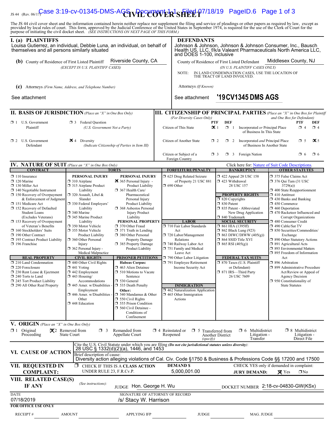# IS 44 (Rev. 06/1 $\frac{C}{C}$ ase 3:19-cv-01345-DMS-AGS  $\sqrt{PPC}$ WER<sup>1</sup>SHEE<sup>1</sup>P7/18/19 PageID.6 Page 1 of 3

The JS 44 civil cover sheet and the information contained herein neither replace nor supplement the filing and service of pleadings or other papers as required by law, except as provided by local rules of court. This form,

| I. (a) PLAINTIFFS<br>Louisa Gutierrez, an individual, Debbie Luna, an individual, on behalf of<br>themselves and all persons similarly situated |                                                                                                                                                |                                                   |  | <b>DEFENDANTS</b><br>Johnson & Johnson, Johnson & Johnson Consumer, Inc., Bausch<br>Health US, LLC, f/k/a Valeant Pharmaceuticals North America LLC.<br>and DOES 1-100, inclusive |                                                  |                                                                       |                                                             |                                              |          |  |
|-------------------------------------------------------------------------------------------------------------------------------------------------|------------------------------------------------------------------------------------------------------------------------------------------------|---------------------------------------------------|--|-----------------------------------------------------------------------------------------------------------------------------------------------------------------------------------|--------------------------------------------------|-----------------------------------------------------------------------|-------------------------------------------------------------|----------------------------------------------|----------|--|
| (b) County of Residence of First Listed Plaintiff                                                                                               |                                                                                                                                                | Riverside County, CA                              |  | Middlesex County, NJ<br>County of Residence of First Listed Defendant                                                                                                             |                                                  |                                                                       |                                                             |                                              |          |  |
|                                                                                                                                                 | (EXCEPT IN U.S. PLAINTIFF CASES)                                                                                                               |                                                   |  |                                                                                                                                                                                   |                                                  | (IN U.S. PLAINTIFF CASES ONLY)                                        |                                                             |                                              |          |  |
|                                                                                                                                                 |                                                                                                                                                |                                                   |  | IN LAND CONDEMNATION CASES, USE THE LOCATION OF<br>NOTE:<br>THE TRACT OF LAND INVOLVED.                                                                                           |                                                  |                                                                       |                                                             |                                              |          |  |
| (c) Attorneys (Firm Name, Address, and Telephone Number)                                                                                        |                                                                                                                                                |                                                   |  | Attorneys (If Known)                                                                                                                                                              |                                                  |                                                                       |                                                             |                                              |          |  |
| See attachment                                                                                                                                  |                                                                                                                                                |                                                   |  | See attachment                                                                                                                                                                    |                                                  | '19 CV 1345 DMS AGS                                                   |                                                             |                                              |          |  |
| <b>II. BASIS OF JURISDICTION</b> (Place an "X" in One Box Only)                                                                                 |                                                                                                                                                |                                                   |  | <b>III. CITIZENSHIP OF PRINCIPAL PARTIES</b> (Place an "X" in One Box for Plaintiff<br>(For Diversity Cases Only)                                                                 |                                                  |                                                                       | and One Box for Defendant)                                  |                                              |          |  |
| $\Box$ 1 U.S. Government                                                                                                                        | $\Box$ 3 Federal Ouestion                                                                                                                      |                                                   |  |                                                                                                                                                                                   | <b>DEF</b><br>PTF                                |                                                                       |                                                             | PTF                                          | DEF      |  |
| Plaintiff                                                                                                                                       | (U.S. Government Not a Party)                                                                                                                  |                                                   |  | Citizen of This State                                                                                                                                                             | $\mathbf{\times}$ 1                              | $\Box$ 1 Incorporated or Principal Place<br>of Business In This State |                                                             | $\Box$ 4                                     | $\Box$ 4 |  |
| $\Box$ 2 U.S. Government<br>Defendant                                                                                                           | $\mathbf{\times}$ 4 Diversity                                                                                                                  | (Indicate Citizenship of Parties in Item III)     |  | Citizen of Another State                                                                                                                                                          | $\Box$ 2                                         | 1 2 Incorporated and Principal Place<br>of Business In Another State  | <b>区</b> 5<br>$\Box$ 5                                      |                                              |          |  |
|                                                                                                                                                 |                                                                                                                                                |                                                   |  | Citizen or Subject of a<br>Foreign Country                                                                                                                                        | $\Box$ 3                                         | $\Box$ 3 Foreign Nation                                               |                                                             | $\Box$ 6                                     | $\Box$ 6 |  |
| <b>IV. NATURE OF SUIT</b> (Place an "X" in One Box Only)                                                                                        |                                                                                                                                                |                                                   |  |                                                                                                                                                                                   |                                                  | Click here for: Nature of Suit Code Descriptions.                     |                                                             |                                              |          |  |
| <b>CONTRACT</b><br>$\Box$ 110 Insurance                                                                                                         | PERSONAL INJURY                                                                                                                                | <b>TORTS</b><br>PERSONAL INJURY                   |  | <b>FORFEITURE/PENALTY</b><br>□ 625 Drug Related Seizure                                                                                                                           |                                                  | <b>BANKRUPTCY</b><br>1 422 Appeal 28 USC 158                          | 375 False Claims Act                                        | <b>OTHER STATUTES</b>                        |          |  |
| $\Box$ 120 Marine                                                                                                                               | $\Box$ 310 Airplane<br>315 Airplane Product                                                                                                    | 365 Personal Injury -                             |  | of Property 21 USC 881                                                                                                                                                            | 423 Withdrawal                                   |                                                                       | $\Box$ 376 Qui Tam (31 USC                                  |                                              |          |  |
| $\Box$ 130 Miller Act<br>$\Box$ 140 Negotiable Instrument                                                                                       | Liability                                                                                                                                      | Product Liability<br>367 Health Care/             |  | $\Box$ 690 Other                                                                                                                                                                  |                                                  | 28 USC 157                                                            |                                                             | 3729(a)<br>$\Box$ 400 State Reapportionment  |          |  |
| $\Box$ 150 Recovery of Overpayment<br>& Enforcement of Judgment                                                                                 | $\Box$ 320 Assault, Libel &<br>Slander                                                                                                         | Pharmaceutical<br>Personal Injury                 |  |                                                                                                                                                                                   | $\Box$ 820 Copyrights                            | <b>PROPERTY RIGHTS</b>                                                | $\Box$ 410 Antitrust<br>$\Box$ 430 Banks and Banking        |                                              |          |  |
| 151 Medicare Act                                                                                                                                | 330 Federal Employers'                                                                                                                         | Product Liability                                 |  |                                                                                                                                                                                   | □ 830 Patent                                     |                                                                       | $\Box$ 450 Commerce                                         |                                              |          |  |
| □ 152 Recovery of Defaulted<br><b>Student Loans</b>                                                                                             | 368 Asbestos Personal<br>Liability<br>340 Marine<br><b>Injury Product</b><br>345 Marine Product<br>Liability<br>PERSONAL PROPERTY<br>Liability |                                                   |  |                                                                                                                                                                                   | 335 Patent - Abbreviated<br>New Drug Application |                                                                       | $\Box$ 460 Deportation<br>1 470 Racketeer Influenced and    |                                              |          |  |
| (Excludes Veterans)<br>$\Box$ 153 Recovery of Overpayment                                                                                       |                                                                                                                                                |                                                   |  | <b>LABOR</b>                                                                                                                                                                      |                                                  | □ 840 Trademark<br><b>SOCIAL SECURITY</b>                             |                                                             | Corrupt Organizations<br>480 Consumer Credit |          |  |
| of Veteran's Benefits                                                                                                                           | 350 Motor Vehicle                                                                                                                              | 370 Other Fraud                                   |  | 710 Fair Labor Standards                                                                                                                                                          | $\Box$ 861 HIA (1395ff)                          |                                                                       | □ 490 Cable/Sat TV                                          |                                              |          |  |
| $\Box$ 160 Stockholders' Suits<br>190 Other Contract                                                                                            | □ 355 Motor Vehicle<br><b>Product Liability</b>                                                                                                | $\Box$ 371 Truth in Lending<br>380 Other Personal |  | Act<br>720 Labor/Management                                                                                                                                                       |                                                  | $\Box$ 862 Black Lung (923)<br>$\Box$ 863 DIWC/DIWW (405(g))          | □ 850 Securities/Commodities/<br>Exchange                   |                                              |          |  |
| 195 Contract Product Liability<br>$\Box$ 196 Franchise                                                                                          | 360 Other Personal<br>Injury                                                                                                                   | <b>Property Damage</b><br>385 Property Damage     |  | Relations<br>740 Railway Labor Act                                                                                                                                                | □ 864 SSID Title XVI<br>$\Box$ 865 RSI (405(g))  |                                                                       | □ 890 Other Statutory Actions<br>□ 891 Agricultural Acts    |                                              |          |  |
|                                                                                                                                                 | $\Box$ 362 Personal Injury -                                                                                                                   | Product Liability                                 |  | 751 Family and Medical<br>Leave Act                                                                                                                                               |                                                  |                                                                       | □ 893 Environmental Matters<br>□ 895 Freedom of Information |                                              |          |  |
| <b>REAL PROPERTY</b>                                                                                                                            | Medical Malpractice<br><b>CIVIL RIGHTS</b>                                                                                                     | <b>PRISONER PETITIONS</b>                         |  | 790 Other Labor Litigation                                                                                                                                                        |                                                  | <b>FEDERAL TAX SUITS</b>                                              | Act                                                         |                                              |          |  |
| 210 Land Condemnation<br>$\Box$ 220 Foreclosure                                                                                                 | $\Box$ 440 Other Civil Rights<br>$\Box$ 441 Voting                                                                                             | <b>Habeas Corpus:</b><br>463 Alien Detainee       |  | 791 Employee Retirement<br>Income Security Act                                                                                                                                    |                                                  | $\Box$ 870 Taxes (U.S. Plaintiff<br>or Defendant)                     | □ 896 Arbitration<br>□ 899 Administrative Procedure         |                                              |          |  |
| □ 230 Rent Lease & Ejectment                                                                                                                    | $\Box$ 442 Employment                                                                                                                          | □ 510 Motions to Vacate                           |  |                                                                                                                                                                                   |                                                  | □ 871 IRS-Third Party                                                 |                                                             | Act/Review or Appeal of                      |          |  |
| $\Box$ 240 Torts to Land<br>245 Tort Product Liability                                                                                          | $\Box$ 443 Housing/<br>Accommodations                                                                                                          | Sentence<br>□ 530 General                         |  |                                                                                                                                                                                   |                                                  | 26 USC 7609                                                           | $\Box$ 950 Constitutionality of                             | <b>Agency Decision</b>                       |          |  |
| 290 All Other Real Property                                                                                                                     | $\Box$ 445 Amer. w/Disabilities -<br>Employment                                                                                                | 535 Death Penalty<br>Other:                       |  | <b>IMMIGRATION</b><br>462 Naturalization Application                                                                                                                              |                                                  |                                                                       | <b>State Statutes</b>                                       |                                              |          |  |
|                                                                                                                                                 | $\Box$ 446 Amer. w/Disabilities -                                                                                                              | $\Box$ 540 Mandamus & Other                       |  | $\Box$ 465 Other Immigration                                                                                                                                                      |                                                  |                                                                       |                                                             |                                              |          |  |
|                                                                                                                                                 | Other<br>□ 448 Education                                                                                                                       | $\Box$ 550 Civil Rights<br>555 Prison Condition   |  | Actions                                                                                                                                                                           |                                                  |                                                                       |                                                             |                                              |          |  |
|                                                                                                                                                 |                                                                                                                                                | 560 Civil Detainee -<br>Conditions of             |  |                                                                                                                                                                                   |                                                  |                                                                       |                                                             |                                              |          |  |
|                                                                                                                                                 |                                                                                                                                                | Confinement                                       |  |                                                                                                                                                                                   |                                                  |                                                                       |                                                             |                                              |          |  |
| <b>V. ORIGIN</b> (Place an "X" in One Box Only)<br>$\Box$ 1 Original                                                                            | $\mathbf{X}$ <sup>2</sup> Removed from<br>$\Box$ 3                                                                                             | Remanded from                                     |  | $\Box$ 4 Reinstated or $\Box$ 5 Transferred from                                                                                                                                  |                                                  | Multidistrict<br>□ 6                                                  |                                                             | $\Box$ 8 Multidistrict                       |          |  |
| Proceeding                                                                                                                                      | <b>State Court</b>                                                                                                                             | Appellate Court                                   |  | Reopened<br>(specify)                                                                                                                                                             | <b>Another District</b>                          | Litigation -<br>Transfer                                              |                                                             | Litigation -<br>Direct File                  |          |  |
|                                                                                                                                                 |                                                                                                                                                | 28 USC § 1332(d)(2)(a), 1446, and 1453            |  | Cite the U.S. Civil Statute under which you are filing (Do not cite jurisdictional statutes unless diversity):                                                                    |                                                  |                                                                       |                                                             |                                              |          |  |
| VI. CAUSE OF ACTION                                                                                                                             | Brief description of cause:                                                                                                                    |                                                   |  | Diversity action alleging violations of Cal. Civ. Code §1750 & Business & Professions Code §§ 17200 and 17500                                                                     |                                                  |                                                                       |                                                             |                                              |          |  |
| VII. REQUESTED IN<br><b>COMPLAINT:</b>                                                                                                          | □<br>UNDER RULE 23, F.R.Cv.P.                                                                                                                  | CHECK IF THIS IS A CLASS ACTION                   |  | <b>DEMAND \$</b><br>5,000,001.00                                                                                                                                                  |                                                  | CHECK YES only if demanded in complaint:<br><b>JURY DEMAND:</b>       | $\boxtimes$ Yes                                             | $\n  7 No$                                   |          |  |
| VIII. RELATED CASE(S)<br>IF ANY                                                                                                                 | (See instructions):                                                                                                                            | JUDGE Hon. George H. Wu                           |  |                                                                                                                                                                                   |                                                  | DOCKET NUMBER 2:18-cv-04830-GW(KSx)                                   |                                                             |                                              |          |  |
| <b>DATE</b>                                                                                                                                     |                                                                                                                                                | SIGNATURE OF ATTORNEY OF RECORD                   |  |                                                                                                                                                                                   |                                                  |                                                                       |                                                             |                                              |          |  |
| 07/18/2019                                                                                                                                      |                                                                                                                                                | /s/ Stacy W. Harrison                             |  |                                                                                                                                                                                   |                                                  |                                                                       |                                                             |                                              |          |  |
| <b>FOR OFFICE USE ONLY</b>                                                                                                                      |                                                                                                                                                |                                                   |  |                                                                                                                                                                                   |                                                  |                                                                       |                                                             |                                              |          |  |
| <b>RECEIPT#</b>                                                                                                                                 | <b>AMOUNT</b>                                                                                                                                  | <b>APPLYING IFP</b>                               |  | <b>JUDGE</b>                                                                                                                                                                      |                                                  | MAG. JUDGE                                                            |                                                             |                                              |          |  |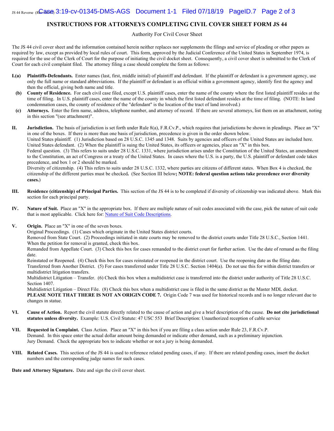#### **INSTRUCTIONS FOR ATTORNEYS COMPLETING CIVIL COVER SHEET FORM JS 44**

Authority For Civil Cover Sheet

The JS 44 civil cover sheet and the information contained herein neither replaces nor supplements the filings and service of pleading or other papers as required by law, except as provided by local rules of court. This form, approved by the Judicial Conference of the United States in September 1974, is required for the use of the Clerk of Court for the purpose of initiating the civil docket sheet. Consequently, a civil cover sheet is submitted to the Clerk of Court for each civil complaint filed. The attorney filing a case should complete the form as follows:

- **I.(a) Plaintiffs-Defendants.** Enter names (last, first, middle initial) of plaintiff and defendant. If the plaintiff or defendant is a government agency, use only the full name or standard abbreviations. If the plaintiff or defendant is an official within a government agency, identify first the agency and then the official, giving both name and title.
- **(b) County of Residence.** For each civil case filed, except U.S. plaintiff cases, enter the name of the county where the first listed plaintiff resides at the time of filing. In U.S. plaintiff cases, enter the name of the county in which the first listed defendant resides at the time of filing. (NOTE: In land condemnation cases, the county of residence of the "defendant" is the location of the tract of land involved.)
- **(c) Attorneys.** Enter the firm name, address, telephone number, and attorney of record. If there are several attorneys, list them on an attachment, noting in this section "(see attachment)".

**II. Jurisdiction.** The basis of jurisdiction is set forth under Rule 8(a), F.R.Cv.P., which requires that jurisdictions be shown in pleadings. Place an "X" in one of the boxes. If there is more than one basis of jurisdiction, precedence is given in the order shown below.

United States plaintiff. (1) Jurisdiction based on 28 U.S.C. 1345 and 1348. Suits by agencies and officers of the United States are included here. United States defendant. (2) When the plaintiff is suing the United States, its officers or agencies, place an "X" in this box.

Federal question. (3) This refers to suits under 28 U.S.C. 1331, where jurisdiction arises under the Constitution of the United States, an amendment to the Constitution, an act of Congress or a treaty of the United States. In cases where the U.S. is a party, the U.S. plaintiff or defendant code takes precedence, and box 1 or 2 should be marked.

Diversity of citizenship. (4) This refers to suits under 28 U.S.C. 1332, where parties are citizens of different states. When Box 4 is checked, the citizenship of the different parties must be checked**.** (See Section III below**; NOTE: federal question actions take precedence over diversity cases.**)

- **III. Residence (citizenship) of Principal Parties.** This section of the JS 44 is to be completed if diversity of citizenship was indicated above. Mark this section for each principal party.
- **IV. Nature of Suit.** Place an "X" in the appropriate box. If there are multiple nature of suit codes associated with the case, pick the nature of suit code that is most applicable. Click here for: Nature of Suit Code Descriptions.
- **V. Origin.** Place an "X" in one of the seven boxes.

Original Proceedings. (1) Cases which originate in the United States district courts.

Removed from State Court. (2) Proceedings initiated in state courts may be removed to the district courts under Title 28 U.S.C., Section 1441. When the petition for removal is granted, check this box.

Remanded from Appellate Court. (3) Check this box for cases remanded to the district court for further action. Use the date of remand as the filing date.

Reinstated or Reopened. (4) Check this box for cases reinstated or reopened in the district court. Use the reopening date as the filing date. Transferred from Another District. (5) For cases transferred under Title 28 U.S.C. Section 1404(a). Do not use this for within district transfers or multidistrict litigation transfers.

Multidistrict Litigation – Transfer. (6) Check this box when a multidistrict case is transferred into the district under authority of Title 28 U.S.C. Section 1407.

Multidistrict Litigation – Direct File. (8) Check this box when a multidistrict case is filed in the same district as the Master MDL docket. **PLEASE NOTE THAT THERE IS NOT AN ORIGIN CODE 7.** Origin Code 7 was used for historical records and is no longer relevant due to changes in statue.

- **VI. Cause of Action.** Report the civil statute directly related to the cause of action and give a brief description of the cause. **Do not cite jurisdictional statutes unless diversity.** Example: U.S. Civil Statute: 47 USC 553 Brief Description: Unauthorized reception of cable service
- **VII. Requested in Complaint.** Class Action. Place an "X" in this box if you are filing a class action under Rule 23, F.R.Cv.P. Demand. In this space enter the actual dollar amount being demanded or indicate other demand, such as a preliminary injunction. Jury Demand. Check the appropriate box to indicate whether or not a jury is being demanded.
- **VIII. Related Cases.** This section of the JS 44 is used to reference related pending cases, if any. If there are related pending cases, insert the docket numbers and the corresponding judge names for such cases.

**Date and Attorney Signature.** Date and sign the civil cover sheet.